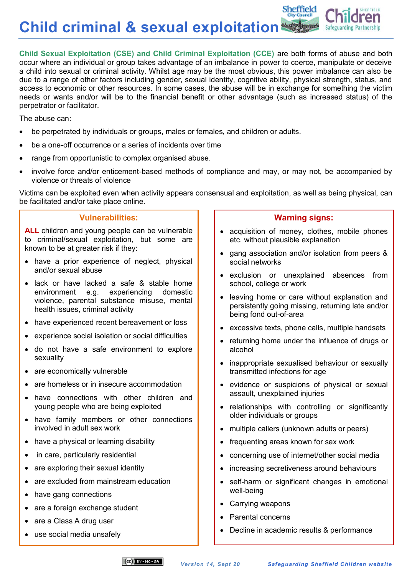**Child criminal & sexual exploitation**

**Child Sexual Exploitation (CSE) and Child Criminal Exploitation (CCE)** are both forms of abuse and both occur where an individual or group takes advantage of an imbalance in power to coerce, manipulate or deceive a child into sexual or criminal activity. Whilst age may be the most obvious, this power imbalance can also be due to a range of other factors including gender, sexual identity, cognitive ability, physical strength, status, and access to economic or other resources. In some cases, the abuse will be in exchange for something the victim needs or wants and/or will be to the financial benefit or other advantage (such as increased status) of the perpetrator or facilitator.

The abuse can:

- be perpetrated by individuals or groups, males or females, and children or adults.
- be a one-off occurrence or a series of incidents over time
- range from opportunistic to complex organised abuse.
- involve force and/or enticement-based methods of compliance and may, or may not, be accompanied by violence or threats of violence

Victims can be exploited even when activity appears consensual and exploitation, as well as being physical, can be facilitated and/or take place online.

## **Vulnerabilities:**

**ALL** children and young people can be vulnerable to criminal/sexual exploitation, but some are known to be at greater risk if they:

- have a prior experience of neglect, physical and/or sexual abuse
- lack or have lacked a safe & stable home environment e.g. experiencing domestic violence, parental substance misuse, mental health issues, criminal activity
- have experienced recent bereavement or loss
- experience social isolation or social difficulties
- do not have a safe environment to explore sexuality
- are economically vulnerable
- are homeless or in insecure accommodation
- have connections with other children and young people who are being exploited
- have family members or other connections involved in adult sex work
- have a physical or learning disability
- in care, particularly residential
- are exploring their sexual identity
- are excluded from mainstream education
- have gang connections
- are a foreign exchange student
- are a Class A drug user
- use social media unsafely

# **Warning signs:**

Sheffield

- acquisition of money, clothes, mobile phones etc. without plausible explanation
- gang association and/or isolation from peers & social networks
- exclusion or unexplained absences from school, college or work
- leaving home or care without explanation and persistently going missing, returning late and/or being fond out-of-area
- excessive texts, phone calls, multiple handsets
- returning home under the influence of drugs or alcohol
- inappropriate sexualised behaviour or sexually transmitted infections for age
- evidence or suspicions of physical or sexual assault, unexplained injuries
- relationships with controlling or significantly older individuals or groups
- multiple callers (unknown adults or peers)
- frequenting areas known for sex work
- concerning use of internet/other social media
- increasing secretiveness around behaviours
- self-harm or significant changes in emotional well-being
- Carrying weapons
- Parental concerns
- Decline in academic results & performance

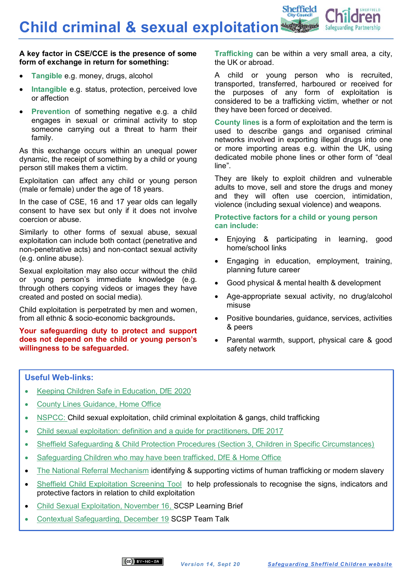**Child criminal & sexual exploitation**

### **A key factor in CSE/CCE is the presence of some form of exchange in return for something:**

- **Tangible** e.g. money, drugs, alcohol
- **Intangible** e.g. status, protection, perceived love or affection
- **Prevention** of something negative e.g. a child engages in sexual or criminal activity to stop someone carrying out a threat to harm their family.

As this exchange occurs within an unequal power dynamic, the receipt of something by a child or young person still makes them a victim.

Exploitation can affect any child or young person (male or female) under the age of 18 years.

In the case of CSE, 16 and 17 year olds can legally consent to have sex but only if it does not involve coercion or abuse.

Similarly to other forms of sexual abuse, sexual exploitation can include both contact (penetrative and non-penetrative acts) and non-contact sexual activity (e.g. online abuse).

Sexual exploitation may also occur without the child or young person's immediate knowledge (e.g. through others copying videos or images they have created and posted on social media).

Child exploitation is perpetrated by men and women, from all ethnic & socio-economic backgrounds**.**

### **Your safeguarding duty to protect and support does not depend on the child or young person's willingness to be safeguarded.**

**Trafficking** can be within a very small area, a city, the UK or abroad.

**Safeguarding Partnership** 

Sheffield

A child or young person who is recruited, transported, transferred, harboured or received for the purposes of any form of exploitation is considered to be a trafficking victim, whether or not they have been forced or deceived.

**County lines** is a form of exploitation and the term is used to describe gangs and organised criminal networks involved in exporting illegal drugs into one or more importing areas e.g. within the UK, using dedicated mobile phone lines or other form of "deal line".

They are likely to exploit children and vulnerable adults to move, sell and store the drugs and money and they will often use coercion, intimidation, violence (including sexual violence) and weapons.

**Protective factors for a child or young person can include:**

- Enjoying & participating in learning, good home/school links
- Engaging in education, employment, training, planning future career
- Good physical & mental health & development
- Age-appropriate sexual activity, no drug/alcohol misuse
- Positive boundaries, guidance, services, activities & peers
- Parental warmth, support, physical care & good safety network

## **Useful Web-links:**

- [Keeping Children Safe in Education, DfE 2020](https://www.gov.uk/government/publications/keeping-children-safe-in-education--2)
- [County Lines Guidance, Home Office](https://www.gov.uk/government/publications/criminal-exploitation-of-children-and-vulnerable-adults-county-lines)
- [NSPCC:](https://www.nspcc.org.uk/what-is-child-abuse/types-of-abuse/) Child sexual exploitation, child criminal exploitation & gangs, child trafficking
- [Child sexual exploitation: definition and a guide for practitioners, DfE 2017](https://www.gov.uk/government/publications/child-sexual-exploitation-definition-and-guide-for-practitioners)
- [Sheffield Safeguarding & Child Protection Procedures \(Section 3, Children in Specific Circumstances\)](https://sheffieldscb.proceduresonline.com/contents.html)
- [Safeguarding Children who may have been trafficked, DfE & Home Office](https://www.gov.uk/government/publications/safeguarding-children-who-may-have-been-trafficked-practice-guidance)
- [The National Referral Mechanism](https://www.gov.uk/government/publications/human-trafficking-victims-referral-and-assessment-forms/guidance-on-the-national-referral-mechanism-for-potential-adult-victims-of-modern-slavery-england-and-wales) identifying & supporting victims of human trafficking or modern slavery
- [Sheffield Child Exploitation Screening Tool](https://www.safeguardingsheffieldchildren.org/assets/1/sheffield_child_exploitation_screen_tool.pdf) to help professionals to recognise the signs, indicators and protective factors in relation to child exploitation
- [Child Sexual Exploitation, November 16,](https://www.safeguardingsheffieldchildren.org/assets/1/cse_tad__learning_brief._nov_16.pdf) SCSP Learning Brief
- [Contextual Safeguarding, December 19](https://www.safeguardingsheffieldchildren.org/assets/1/team_talk_7_contextual_safeguarding.docx) SCSP Team Talk